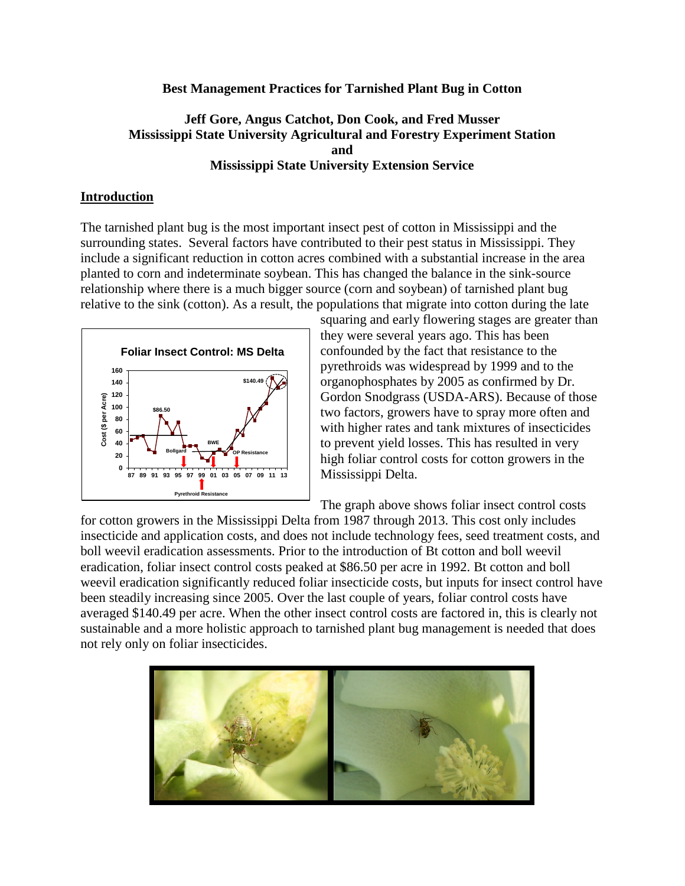### **Best Management Practices for Tarnished Plant Bug in Cotton**

# **Jeff Gore, Angus Catchot, Don Cook, and Fred Musser Mississippi State University Agricultural and Forestry Experiment Station and Mississippi State University Extension Service**

### **Introduction**

The tarnished plant bug is the most important insect pest of cotton in Mississippi and the surrounding states. Several factors have contributed to their pest status in Mississippi. They include a significant reduction in cotton acres combined with a substantial increase in the area planted to corn and indeterminate soybean. This has changed the balance in the sink-source relationship where there is a much bigger source (corn and soybean) of tarnished plant bug relative to the sink (cotton). As a result, the populations that migrate into cotton during the late



squaring and early flowering stages are greater than they were several years ago. This has been confounded by the fact that resistance to the pyrethroids was widespread by 1999 and to the organophosphates by 2005 as confirmed by Dr. Gordon Snodgrass (USDA-ARS). Because of those two factors, growers have to spray more often and with higher rates and tank mixtures of insecticides to prevent yield losses. This has resulted in very high foliar control costs for cotton growers in the Mississippi Delta.

The graph above shows foliar insect control costs

for cotton growers in the Mississippi Delta from 1987 through 2013. This cost only includes insecticide and application costs, and does not include technology fees, seed treatment costs, and boll weevil eradication assessments. Prior to the introduction of Bt cotton and boll weevil eradication, foliar insect control costs peaked at \$86.50 per acre in 1992. Bt cotton and boll weevil eradication significantly reduced foliar insecticide costs, but inputs for insect control have been steadily increasing since 2005. Over the last couple of years, foliar control costs have averaged \$140.49 per acre. When the other insect control costs are factored in, this is clearly not sustainable and a more holistic approach to tarnished plant bug management is needed that does not rely only on foliar insecticides.

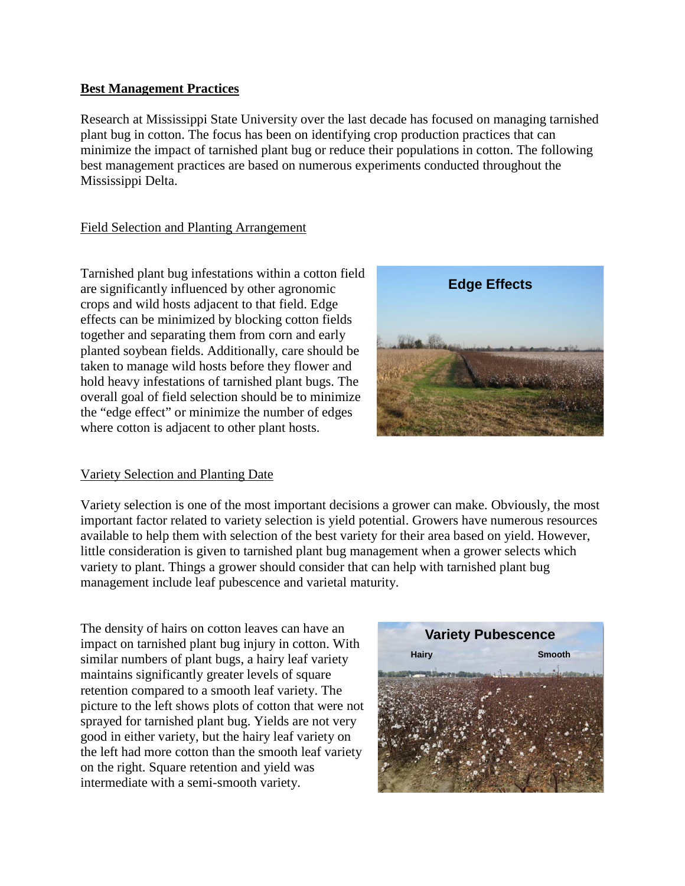# **Best Management Practices**

Research at Mississippi State University over the last decade has focused on managing tarnished plant bug in cotton. The focus has been on identifying crop production practices that can minimize the impact of tarnished plant bug or reduce their populations in cotton. The following best management practices are based on numerous experiments conducted throughout the Mississippi Delta.

# Field Selection and Planting Arrangement

Tarnished plant bug infestations within a cotton field are significantly influenced by other agronomic crops and wild hosts adjacent to that field. Edge effects can be minimized by blocking cotton fields together and separating them from corn and early planted soybean fields. Additionally, care should be taken to manage wild hosts before they flower and hold heavy infestations of tarnished plant bugs. The overall goal of field selection should be to minimize the "edge effect" or minimize the number of edges where cotton is adjacent to other plant hosts.

## Variety Selection and Planting Date

Variety selection is one of the most important decisions a grower can make. Obviously, the most important factor related to variety selection is yield potential. Growers have numerous resources available to help them with selection of the best variety for their area based on yield. However, little consideration is given to tarnished plant bug management when a grower selects which variety to plant. Things a grower should consider that can help with tarnished plant bug management include leaf pubescence and varietal maturity.

The density of hairs on cotton leaves can have an impact on tarnished plant bug injury in cotton. With similar numbers of plant bugs, a hairy leaf variety maintains significantly greater levels of square retention compared to a smooth leaf variety. The picture to the left shows plots of cotton that were not sprayed for tarnished plant bug. Yields are not very good in either variety, but the hairy leaf variety on the left had more cotton than the smooth leaf variety on the right. Square retention and yield was intermediate with a semi-smooth variety.



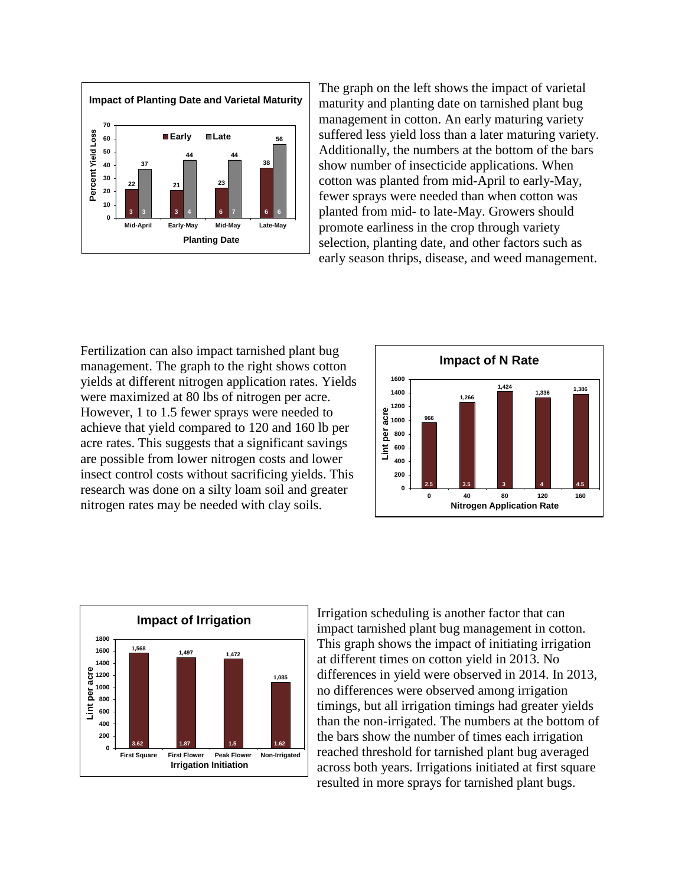

The graph on the left shows the impact of varietal maturity and planting date on tarnished plant bug management in cotton. An early maturing variety suffered less yield loss than a later maturing variety. Additionally, the numbers at the bottom of the bars show number of insecticide applications. When cotton was planted from mid-April to early-May, fewer sprays were needed than when cotton was planted from mid- to late-May. Growers should promote earliness in the crop through variety selection, planting date, and other factors such as early season thrips, disease, and weed management.

Fertilization can also impact tarnished plant bug management. The graph to the right shows cotton yields at different nitrogen application rates. Yields were maximized at 80 lbs of nitrogen per acre. However, 1 to 1.5 fewer sprays were needed to achieve that yield compared to 120 and 160 lb per acre rates. This suggests that a significant savings are possible from lower nitrogen costs and lower insect control costs without sacrificing yields. This research was done on a silty loam soil and greater nitrogen rates may be needed with clay soils.





Irrigation scheduling is another factor that can impact tarnished plant bug management in cotton. This graph shows the impact of initiating irrigation at different times on cotton yield in 2013. No differences in yield were observed in 2014. In 2013, no differences were observed among irrigation timings, but all irrigation timings had greater yields than the non-irrigated. The numbers at the bottom of the bars show the number of times each irrigation reached threshold for tarnished plant bug averaged across both years. Irrigations initiated at first square resulted in more sprays for tarnished plant bugs.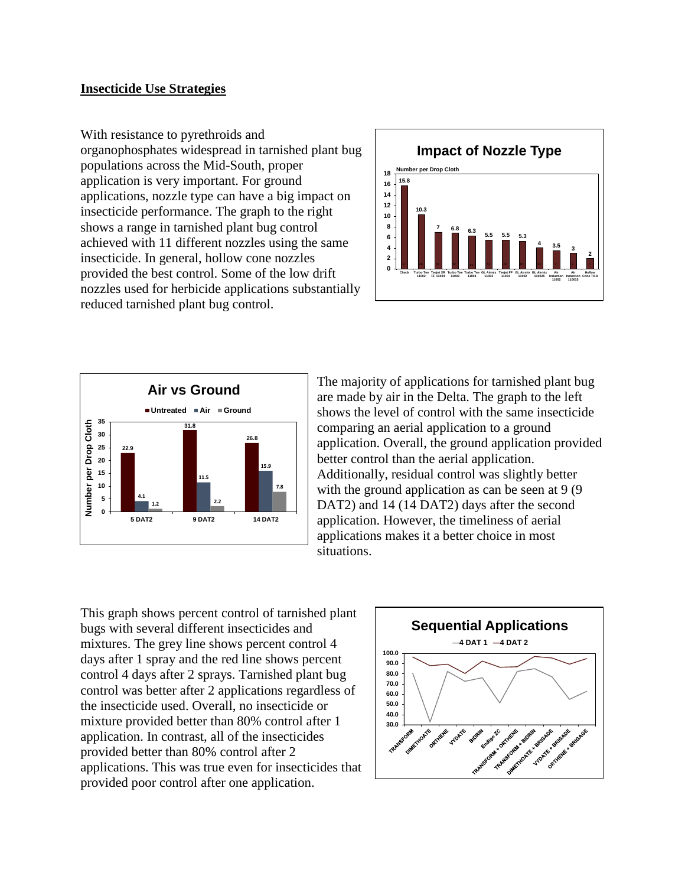### **Insecticide Use Strategies**

With resistance to pyrethroids and organophosphates widespread in tarnished plant bug populations across the Mid-South, proper application is very important. For ground applications, nozzle type can have a big impact on insecticide performance. The graph to the right shows a range in tarnished plant bug control achieved with 11 different nozzles using the same insecticide. In general, hollow cone nozzles provided the best control. Some of the low drift nozzles used for herbicide applications substantially reduced tarnished plant bug control.





The majority of applications for tarnished plant bug are made by air in the Delta. The graph to the left shows the level of control with the same insecticide comparing an aerial application to a ground application. Overall, the ground application provided better control than the aerial application. Additionally, residual control was slightly better with the ground application as can be seen at 9 (9) DAT2) and 14 (14 DAT2) days after the second application. However, the timeliness of aerial applications makes it a better choice in most situations.

This graph shows percent control of tarnished plant bugs with several different insecticides and mixtures. The grey line shows percent control 4 days after 1 spray and the red line shows percent control 4 days after 2 sprays. Tarnished plant bug control was better after 2 applications regardless of the insecticide used. Overall, no insecticide or mixture provided better than 80% control after 1 application. In contrast, all of the insecticides provided better than 80% control after 2 applications. This was true even for insecticides that provided poor control after one application.

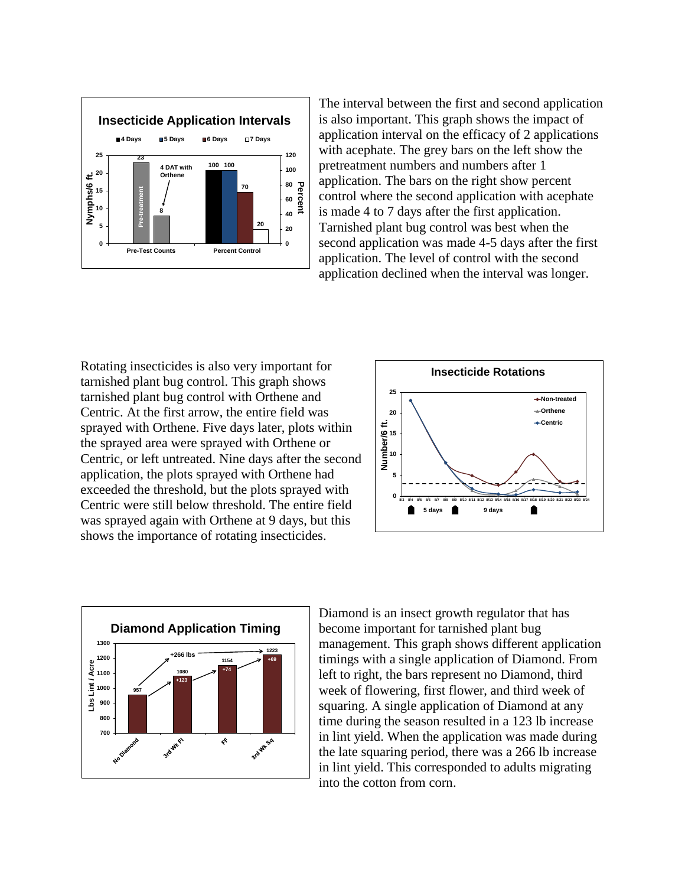

The interval between the first and second application is also important. This graph shows the impact of application interval on the efficacy of 2 applications with acephate. The grey bars on the left show the pretreatment numbers and numbers after 1 application. The bars on the right show percent control where the second application with acephate is made 4 to 7 days after the first application. Tarnished plant bug control was best when the second application was made 4-5 days after the first application. The level of control with the second application declined when the interval was longer.

Rotating insecticides is also very important for tarnished plant bug control. This graph shows tarnished plant bug control with Orthene and Centric. At the first arrow, the entire field was sprayed with Orthene. Five days later, plots within the sprayed area were sprayed with Orthene or Centric, or left untreated. Nine days after the second application, the plots sprayed with Orthene had exceeded the threshold, but the plots sprayed with Centric were still below threshold. The entire field was sprayed again with Orthene at 9 days, but this shows the importance of rotating insecticides.





Diamond is an insect growth regulator that has become important for tarnished plant bug management. This graph shows different application timings with a single application of Diamond. From left to right, the bars represent no Diamond, third week of flowering, first flower, and third week of squaring. A single application of Diamond at any time during the season resulted in a 123 lb increase in lint yield. When the application was made during the late squaring period, there was a 266 lb increase in lint yield. This corresponded to adults migrating into the cotton from corn.